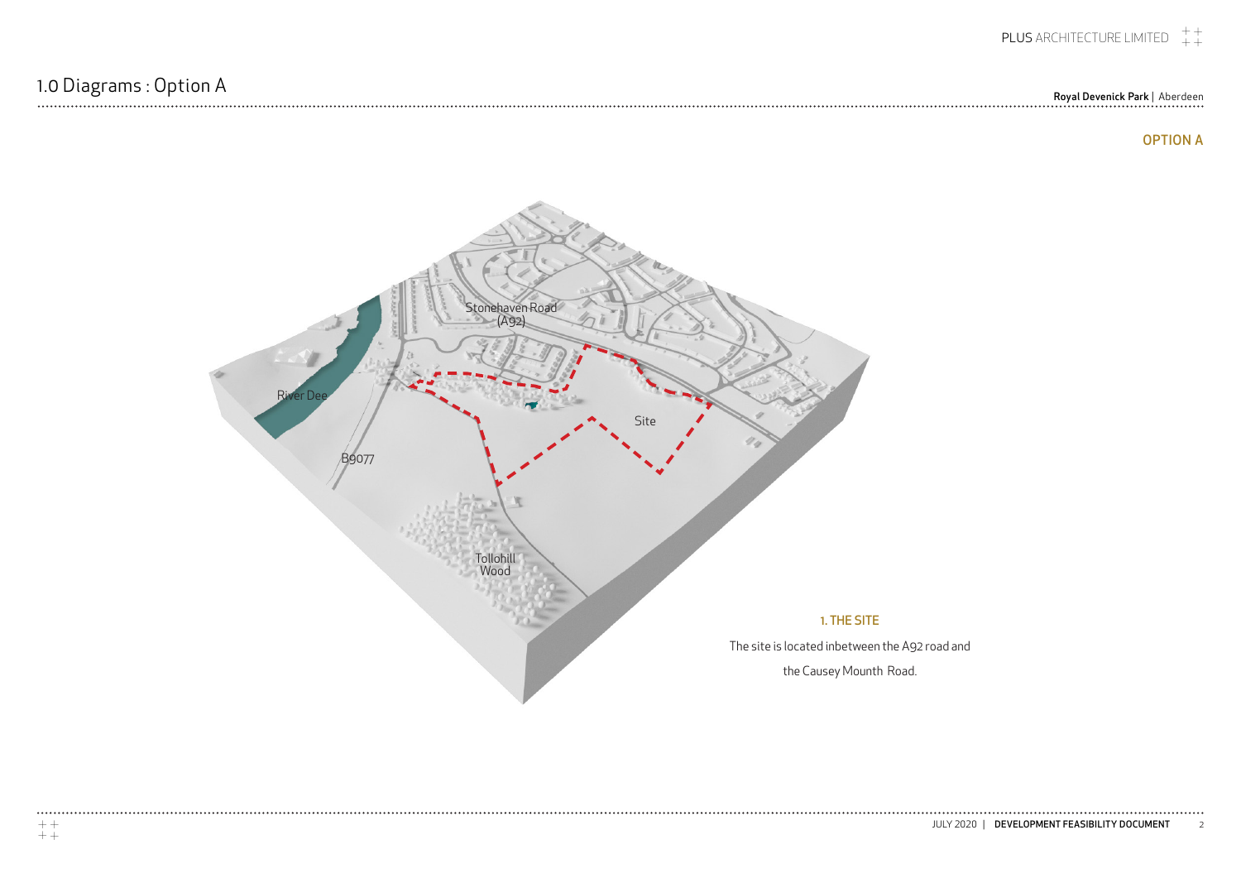## 1.0 Diagrams : Option A<br>Royal Devenick Park | Aberdeen Royal Devenick Park | Aberdeen Royal Devenick Park | Aberdeen Royal Devenick Park | Aberdeen

 $\cdots\cdots\cdots$ 

## OPTION A

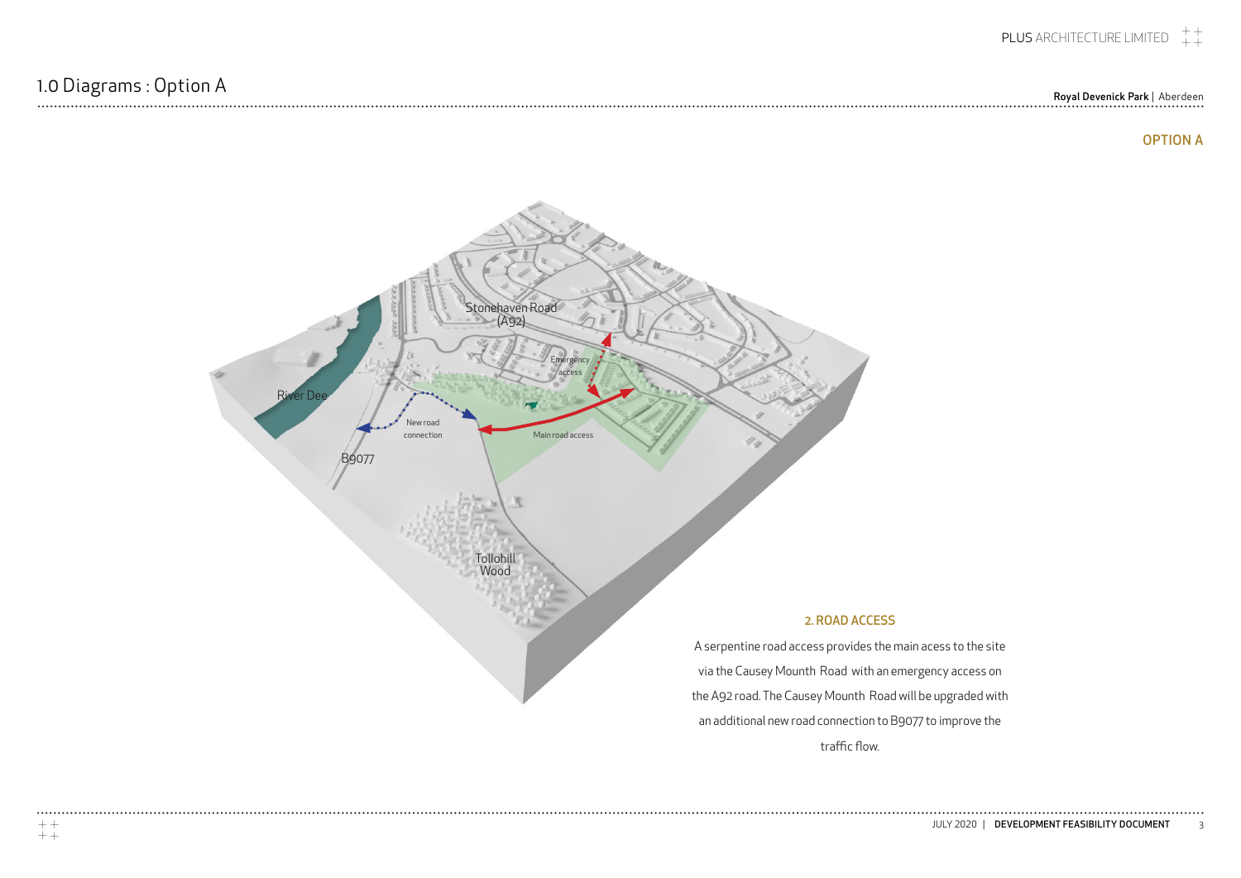Royal Devenick Park | Aberdeen

........



traffic flow.

 $\ddotsc$ 

## OPTION A